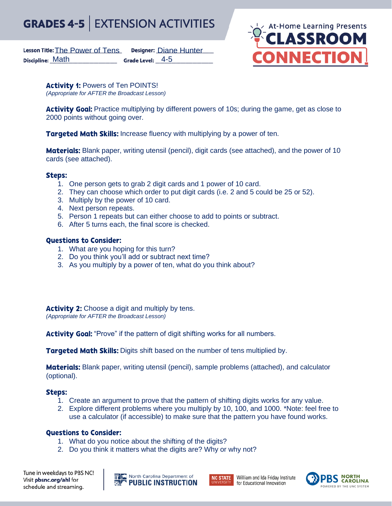### **EXTENSION ACTIVITIES GRADES 4-5**

Lesson Title: The Power of Tens Designer: Diane Hunter Discipline: Math Grade Level: 4-5



Activity 1: Powers of Ten POINTS! *(Appropriate for AFTER the Broadcast Lesson)*

**Activity Goal:** Practice multiplying by different powers of 10s; during the game, get as close to 2000 points without going over.

**Targeted Math Skills:** Increase fluency with multiplying by a power of ten.

**Materials:** Blank paper, writing utensil (pencil), digit cards (see attached), and the power of 10 cards (see attached).

## **Steps:**

- 1. One person gets to grab 2 digit cards and 1 power of 10 card.
- 2. They can choose which order to put digit cards (i.e. 2 and 5 could be 25 or 52).
- 3. Multiply by the power of 10 card.
- 4. Next person repeats.
- 5. Person 1 repeats but can either choose to add to points or subtract.
- 6. After 5 turns each, the final score is checked.

## **Questions to Consider:**

- 1. What are you hoping for this turn?
- 2. Do you think you'll add or subtract next time?
- 3. As you multiply by a power of ten, what do you think about?

Activity 2: Choose a digit and multiply by tens. *(Appropriate for AFTER the Broadcast Lesson)*

Activity Goal: "Prove" if the pattern of digit shifting works for all numbers.

**Targeted Math Skills:** Digits shift based on the number of tens multiplied by.

**Materials:** Blank paper, writing utensil (pencil), sample problems (attached), and calculator (optional).

## **Steps:**

- 1. Create an argument to prove that the pattern of shifting digits works for any value.
- 2. Explore different problems where you multiply by 10, 100, and 1000. \*Note: feel free to use a calculator (if accessible) to make sure that the pattern you have found works.

## **Questions to Consider:**

- 1. What do you notice about the shifting of the digits?
- 2. Do you think it matters what the digits are? Why or why not?

Tune in weekdays to PBS NC! Visit pbsnc.org/ahl for schedule and streaming.

**THE North Carolina Department of**<br>**SMP PUBLIC INSTRUCTION** 



William and Ida Friday Institute for Educational Innovation

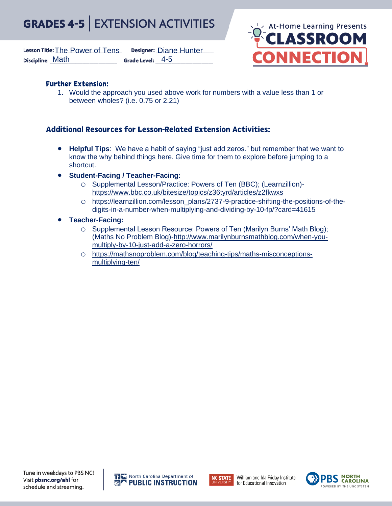#### **EXTENSION ACTIVITIES GRADES 4-5**

Lesson Title: The Power of Tens Designer: Diane Hunter Discipline: Math Grade Level: 4-5



# **Further Extension:**

1. Would the approach you used above work for numbers with a value less than 1 or between wholes? (i.e. 0.75 or 2.21)

# **Additional Resources for Lesson-Related Extension Activities:**

- **Helpful Tips**: We have a habit of saying "just add zeros." but remember that we want to know the why behind things here. Give time for them to explore before jumping to a shortcut.
- **Student-Facing / Teacher-Facing:**
	- o Supplemental Lesson/Practice: Powers of Ten (BBC); (Learnzillion) <https://www.bbc.co.uk/bitesize/topics/z36tyrd/articles/z2fkwxs>
	- o [https://learnzillion.com/lesson\\_plans/2737-9-practice-shifting-the-positions-of-the](https://learnzillion.com/lesson_plans/2737-9-practice-shifting-the-positions-of-the-digits-in-a-number-when-multiplying-and-dividing-by-10-fp/?card=41615)[digits-in-a-number-when-multiplying-and-dividing-by-10-fp/?card=41615](https://learnzillion.com/lesson_plans/2737-9-practice-shifting-the-positions-of-the-digits-in-a-number-when-multiplying-and-dividing-by-10-fp/?card=41615)
- **Teacher-Facing:**
	- o Supplemental Lesson Resource: Powers of Ten (Marilyn Burns' Math Blog); (Maths No Problem Blog)[-http://www.marilynburnsmathblog.com/when-you](http://www.marilynburnsmathblog.com/when-you-multiply-by-10-just-add-a-zero-horrors/)[multiply-by-10-just-add-a-zero-horrors/](http://www.marilynburnsmathblog.com/when-you-multiply-by-10-just-add-a-zero-horrors/)
	- o [https://mathsnoproblem.com/blog/teaching-tips/maths-misconceptions](https://mathsnoproblem.com/blog/teaching-tips/maths-misconceptions-multiplying-ten/)[multiplying-ten/](https://mathsnoproblem.com/blog/teaching-tips/maths-misconceptions-multiplying-ten/)